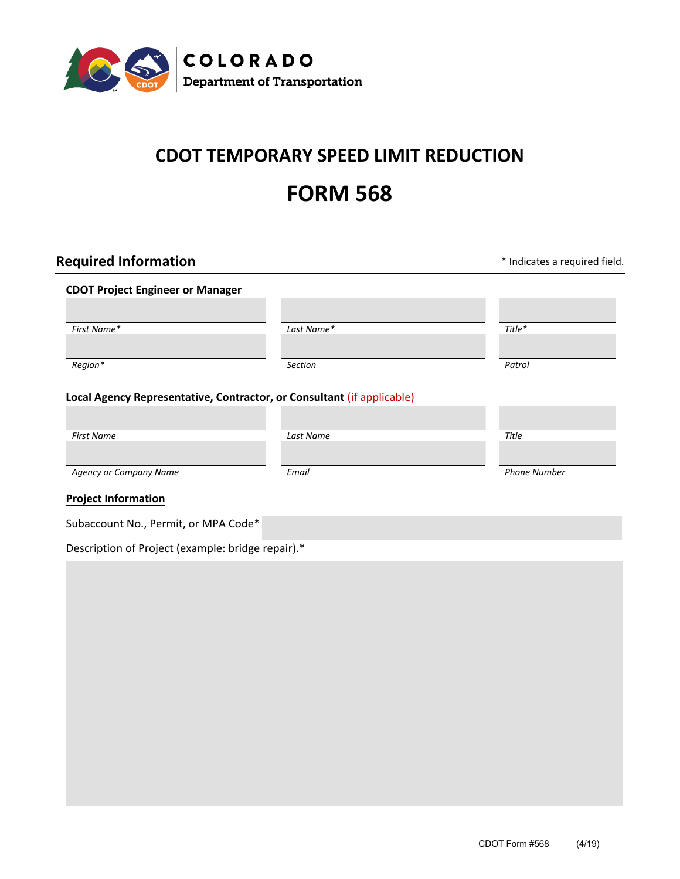

# **CDOT TEMPORARY SPEED LIMIT REDUCTION**

# **FORM 568**

| <b>Required Information</b>                       |                                                                        | * Indicates a required field. |
|---------------------------------------------------|------------------------------------------------------------------------|-------------------------------|
| <b>CDOT Project Engineer or Manager</b>           |                                                                        |                               |
| First Name*                                       | Last Name*                                                             | Title*                        |
| Region*                                           | <b>Section</b>                                                         | Patrol                        |
|                                                   | Local Agency Representative, Contractor, or Consultant (if applicable) |                               |
|                                                   |                                                                        |                               |
| <b>First Name</b>                                 | Last Name                                                              | Title                         |
| <b>Agency or Company Name</b>                     | Email                                                                  | <b>Phone Number</b>           |
| <b>Project Information</b>                        |                                                                        |                               |
| Subaccount No., Permit, or MPA Code*              |                                                                        |                               |
| Description of Project (example: bridge repair).* |                                                                        |                               |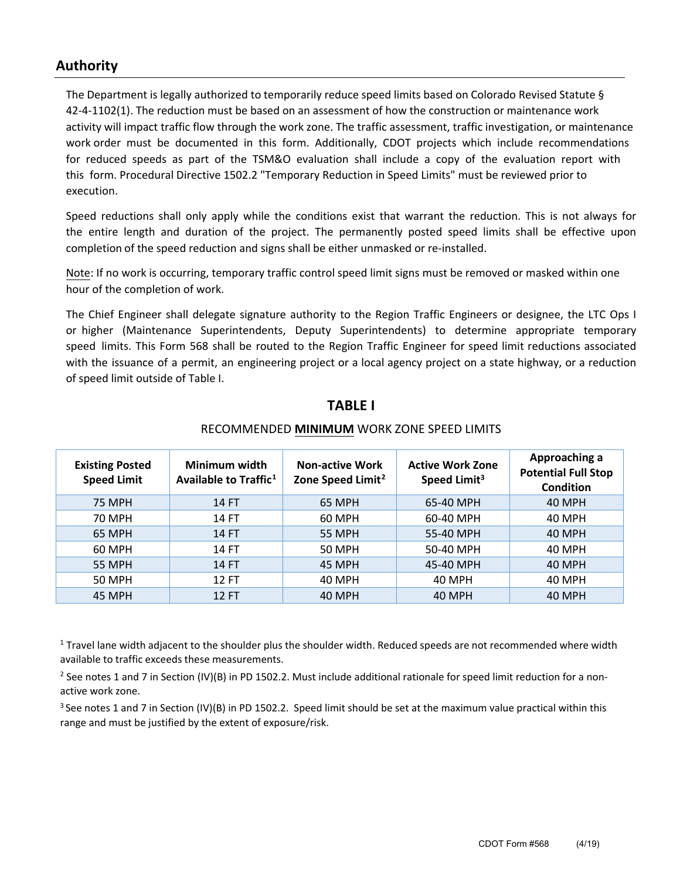#### **Authority**

The Department is legally authorized to temporarily reduce speed limits based on Colorado Revised Statute § 42-4-1102(1). The reduction must be based on an assessment of how the construction or maintenance work activity will impact traffic flow through the work zone. The traffic assessment, traffic investigation, or maintenance work order must be documented in this form. Additionally, CDOT projects which include recommendations for reduced speeds as part of the TSM&O evaluation shall include a copy of the evaluation report with this form. Procedural Directive 1502.2 "Temporary Reduction in Speed Limits" must be reviewed prior to execution.

Speed reductions shall only apply while the conditions exist that warrant the reduction. This is not always for the entire length and duration of the project. The permanently posted speed limits shall be effective upon completion of the speed reduction and signs shall be either unmasked or re-installed.

Note: If no work is occurring, temporary traffic control speed limit signs must be removed or masked within one hour of the completion of work.

The Chief Engineer shall delegate signature authority to the Region Traffic Engineers or designee, the LTC Ops I or higher (Maintenance Superintendents, Deputy Superintendents) to determine appropriate temporary speed limits. This Form 568 shall be routed to the Region Traffic Engineer for speed limit reductions associated with the issuance of a permit, an engineering project or a local agency project on a state highway, or a reduction of speed limit outside of Table I.

#### **TABLE I**

| <b>Existing Posted</b><br><b>Speed Limit</b> | Minimum width<br>Available to Traffic <sup>1</sup> | <b>Non-active Work</b><br>Zone Speed Limit <sup>2</sup> | <b>Active Work Zone</b><br>Speed Limit <sup>3</sup> | Approaching a<br><b>Potential Full Stop</b><br><b>Condition</b> |
|----------------------------------------------|----------------------------------------------------|---------------------------------------------------------|-----------------------------------------------------|-----------------------------------------------------------------|
| <b>75 MPH</b>                                | 14 FT                                              | 65 MPH                                                  | 65-40 MPH                                           | 40 MPH                                                          |
| 70 MPH                                       | 14 FT                                              | 60 MPH                                                  | 60-40 MPH                                           | 40 MPH                                                          |
| 65 MPH                                       | 14 FT                                              | <b>55 MPH</b>                                           | 55-40 MPH                                           | 40 MPH                                                          |
| 60 MPH                                       | 14 FT                                              | 50 MPH                                                  | 50-40 MPH                                           | 40 MPH                                                          |
| <b>55 MPH</b>                                | 14 FT                                              | 45 MPH                                                  | 45-40 MPH                                           | 40 MPH                                                          |
| 50 MPH                                       | 12 FT                                              | 40 MPH                                                  | 40 MPH                                              | 40 MPH                                                          |
| 45 MPH                                       | 12 FT                                              | 40 MPH                                                  | 40 MPH                                              | <b>40 MPH</b>                                                   |

#### RECOMMENDED **MINIMUM** WORK ZONE SPEED LIMITS

<sup>1</sup> Travel lane width adjacent to the shoulder plus the shoulder width. Reduced speeds are not recommended where width available to traffic exceeds these measurements.

<sup>2</sup> See notes 1 and 7 in Section (IV)(B) in PD 1502.2. Must include additional rationale for speed limit reduction for a nonactive work zone.

<span id="page-1-0"></span> $3$  See notes 1 and 7 in Section (IV)(B) in PD 1502.2. Speed limit should be set at the maximum value practical within this range and must be justified by the extent of exposure/risk.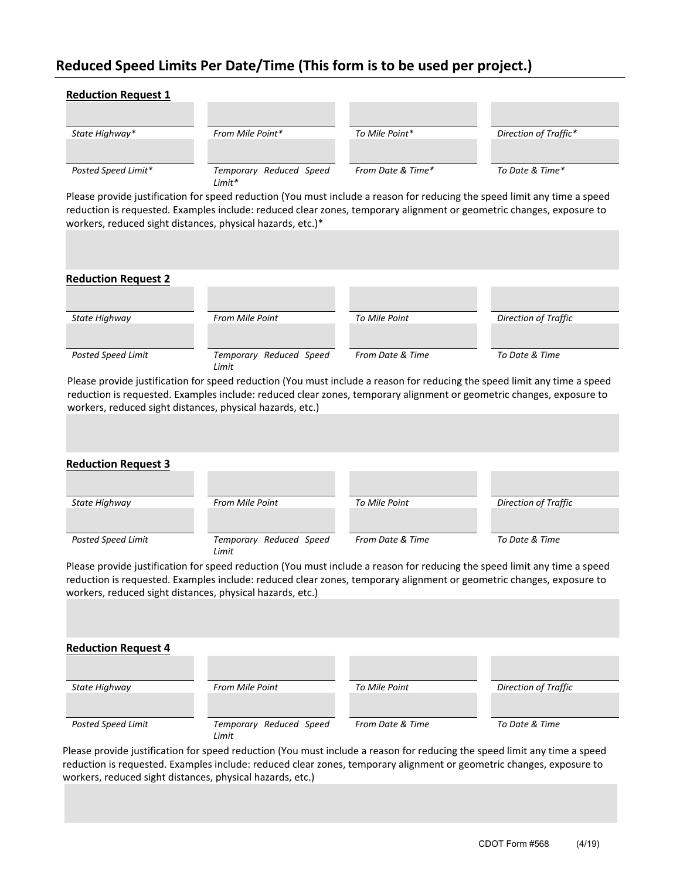## **Reduced Speed Limits Per Date/Time (This form is to be used per project.)**

| State Highway*                                   | From Mile Point*                                                                                                                                                                                                                                                                                                        | To Mile Point*    | Direction of Traffic* |
|--------------------------------------------------|-------------------------------------------------------------------------------------------------------------------------------------------------------------------------------------------------------------------------------------------------------------------------------------------------------------------------|-------------------|-----------------------|
|                                                  |                                                                                                                                                                                                                                                                                                                         |                   |                       |
| Posted Speed Limit*                              | Temporary Reduced Speed<br>Limit*                                                                                                                                                                                                                                                                                       | From Date & Time* | To Date & Time*       |
|                                                  | Please provide justification for speed reduction (You must include a reason for reducing the speed limit any time a speed<br>reduction is requested. Examples include: reduced clear zones, temporary alignment or geometric changes, exposure to<br>workers, reduced sight distances, physical hazards, etc.)*         |                   |                       |
|                                                  |                                                                                                                                                                                                                                                                                                                         |                   |                       |
| <b>Reduction Request 2</b>                       |                                                                                                                                                                                                                                                                                                                         |                   |                       |
|                                                  |                                                                                                                                                                                                                                                                                                                         |                   |                       |
| State Highway                                    | From Mile Point                                                                                                                                                                                                                                                                                                         | To Mile Point     | Direction of Traffic  |
|                                                  | Temporary Reduced Speed                                                                                                                                                                                                                                                                                                 | From Date & Time  | To Date & Time        |
|                                                  | Limit<br>Please provide justification for speed reduction (You must include a reason for reducing the speed limit any time a speed<br>reduction is requested. Examples include: reduced clear zones, temporary alignment or geometric changes, exposure to<br>workers, reduced sight distances, physical hazards, etc.) |                   |                       |
| Posted Speed Limit                               |                                                                                                                                                                                                                                                                                                                         |                   |                       |
| State Highway                                    | From Mile Point                                                                                                                                                                                                                                                                                                         | To Mile Point     | Direction of Traffic  |
| <b>Reduction Request 3</b><br>Posted Speed Limit | Temporary Reduced Speed                                                                                                                                                                                                                                                                                                 | From Date & Time  | To Date & Time        |
|                                                  | Limit<br>Please provide justification for speed reduction (You must include a reason for reducing the speed limit any time a speed<br>reduction is requested. Examples include: reduced clear zones, temporary alignment or geometric changes, exposure to<br>workers, reduced sight distances, physical hazards, etc.) |                   |                       |
|                                                  |                                                                                                                                                                                                                                                                                                                         |                   |                       |
| <b>Reduction Request 4</b><br>State Highway      | From Mile Point                                                                                                                                                                                                                                                                                                         | To Mile Point     | Direction of Traffic  |